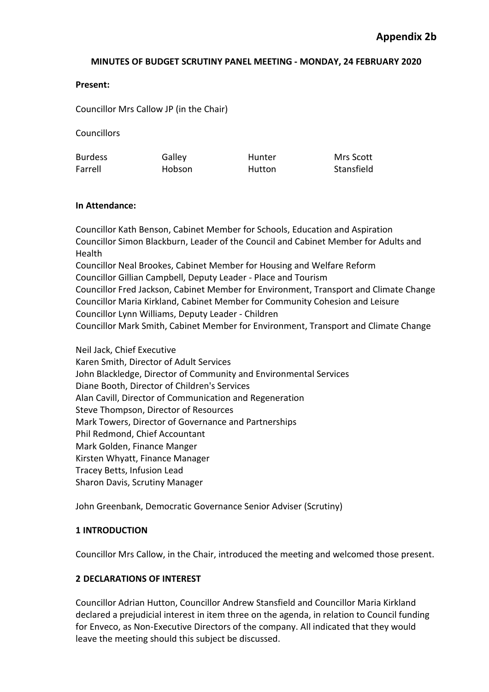## **Present:**

Councillor Mrs Callow JP (in the Chair)

**Councillors** 

| <b>Burdess</b> | Galley | Hunter | Mrs Scott  |
|----------------|--------|--------|------------|
| Farrell        | Hobson | Hutton | Stansfield |

## **In Attendance:**

Councillor Kath Benson, Cabinet Member for Schools, Education and Aspiration Councillor Simon Blackburn, Leader of the Council and Cabinet Member for Adults and Health Councillor Neal Brookes, Cabinet Member for Housing and Welfare Reform Councillor Gillian Campbell, Deputy Leader - Place and Tourism

Councillor Fred Jackson, Cabinet Member for Environment, Transport and Climate Change Councillor Maria Kirkland, Cabinet Member for Community Cohesion and Leisure Councillor Lynn Williams, Deputy Leader - Children

Councillor Mark Smith, Cabinet Member for Environment, Transport and Climate Change

Neil Jack, Chief Executive Karen Smith, Director of Adult Services John Blackledge, Director of Community and Environmental Services Diane Booth, Director of Children's Services Alan Cavill, Director of Communication and Regeneration Steve Thompson, Director of Resources Mark Towers, Director of Governance and Partnerships Phil Redmond, Chief Accountant Mark Golden, Finance Manger Kirsten Whyatt, Finance Manager Tracey Betts, Infusion Lead Sharon Davis, Scrutiny Manager

John Greenbank, Democratic Governance Senior Adviser (Scrutiny)

## **1 INTRODUCTION**

Councillor Mrs Callow, in the Chair, introduced the meeting and welcomed those present.

## **2 DECLARATIONS OF INTEREST**

Councillor Adrian Hutton, Councillor Andrew Stansfield and Councillor Maria Kirkland declared a prejudicial interest in item three on the agenda, in relation to Council funding for Enveco, as Non-Executive Directors of the company. All indicated that they would leave the meeting should this subject be discussed.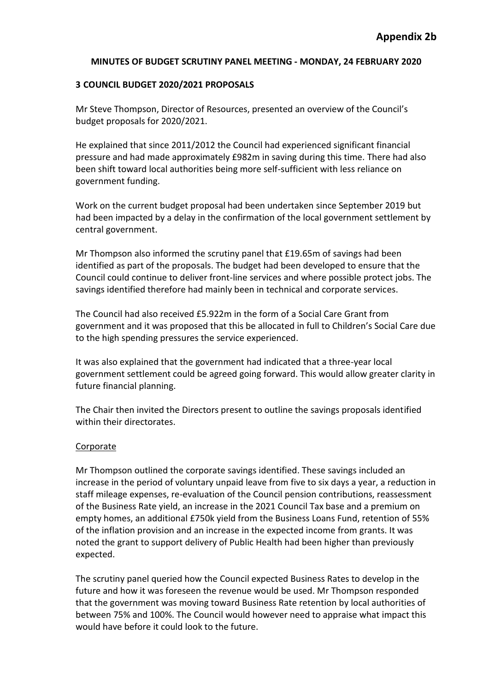## **3 COUNCIL BUDGET 2020/2021 PROPOSALS**

Mr Steve Thompson, Director of Resources, presented an overview of the Council's budget proposals for 2020/2021.

He explained that since 2011/2012 the Council had experienced significant financial pressure and had made approximately £982m in saving during this time. There had also been shift toward local authorities being more self-sufficient with less reliance on government funding.

Work on the current budget proposal had been undertaken since September 2019 but had been impacted by a delay in the confirmation of the local government settlement by central government.

Mr Thompson also informed the scrutiny panel that £19.65m of savings had been identified as part of the proposals. The budget had been developed to ensure that the Council could continue to deliver front-line services and where possible protect jobs. The savings identified therefore had mainly been in technical and corporate services.

The Council had also received £5.922m in the form of a Social Care Grant from government and it was proposed that this be allocated in full to Children's Social Care due to the high spending pressures the service experienced.

It was also explained that the government had indicated that a three-year local government settlement could be agreed going forward. This would allow greater clarity in future financial planning.

The Chair then invited the Directors present to outline the savings proposals identified within their directorates.

## Corporate

Mr Thompson outlined the corporate savings identified. These savings included an increase in the period of voluntary unpaid leave from five to six days a year, a reduction in staff mileage expenses, re-evaluation of the Council pension contributions, reassessment of the Business Rate yield, an increase in the 2021 Council Tax base and a premium on empty homes, an additional £750k yield from the Business Loans Fund, retention of 55% of the inflation provision and an increase in the expected income from grants. It was noted the grant to support delivery of Public Health had been higher than previously expected.

The scrutiny panel queried how the Council expected Business Rates to develop in the future and how it was foreseen the revenue would be used. Mr Thompson responded that the government was moving toward Business Rate retention by local authorities of between 75% and 100%. The Council would however need to appraise what impact this would have before it could look to the future.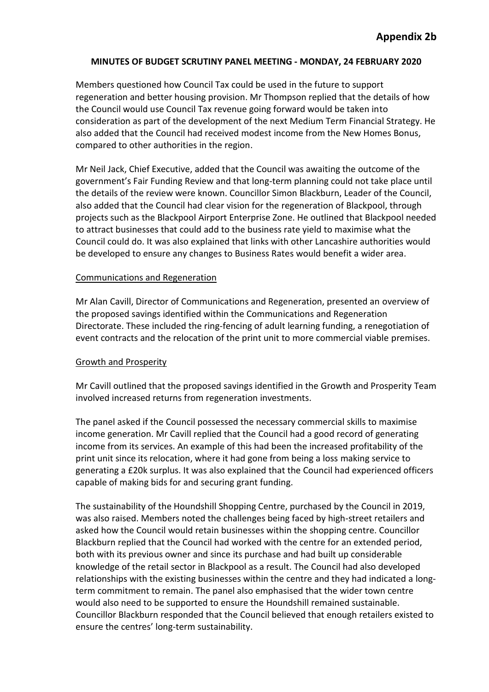Members questioned how Council Tax could be used in the future to support regeneration and better housing provision. Mr Thompson replied that the details of how the Council would use Council Tax revenue going forward would be taken into consideration as part of the development of the next Medium Term Financial Strategy. He also added that the Council had received modest income from the New Homes Bonus, compared to other authorities in the region.

Mr Neil Jack, Chief Executive, added that the Council was awaiting the outcome of the government's Fair Funding Review and that long-term planning could not take place until the details of the review were known. Councillor Simon Blackburn, Leader of the Council, also added that the Council had clear vision for the regeneration of Blackpool, through projects such as the Blackpool Airport Enterprise Zone. He outlined that Blackpool needed to attract businesses that could add to the business rate yield to maximise what the Council could do. It was also explained that links with other Lancashire authorities would be developed to ensure any changes to Business Rates would benefit a wider area.

## Communications and Regeneration

Mr Alan Cavill, Director of Communications and Regeneration, presented an overview of the proposed savings identified within the Communications and Regeneration Directorate. These included the ring-fencing of adult learning funding, a renegotiation of event contracts and the relocation of the print unit to more commercial viable premises.

## Growth and Prosperity

Mr Cavill outlined that the proposed savings identified in the Growth and Prosperity Team involved increased returns from regeneration investments.

The panel asked if the Council possessed the necessary commercial skills to maximise income generation. Mr Cavill replied that the Council had a good record of generating income from its services. An example of this had been the increased profitability of the print unit since its relocation, where it had gone from being a loss making service to generating a £20k surplus. It was also explained that the Council had experienced officers capable of making bids for and securing grant funding.

The sustainability of the Houndshill Shopping Centre, purchased by the Council in 2019, was also raised. Members noted the challenges being faced by high-street retailers and asked how the Council would retain businesses within the shopping centre. Councillor Blackburn replied that the Council had worked with the centre for an extended period, both with its previous owner and since its purchase and had built up considerable knowledge of the retail sector in Blackpool as a result. The Council had also developed relationships with the existing businesses within the centre and they had indicated a longterm commitment to remain. The panel also emphasised that the wider town centre would also need to be supported to ensure the Houndshill remained sustainable. Councillor Blackburn responded that the Council believed that enough retailers existed to ensure the centres' long-term sustainability.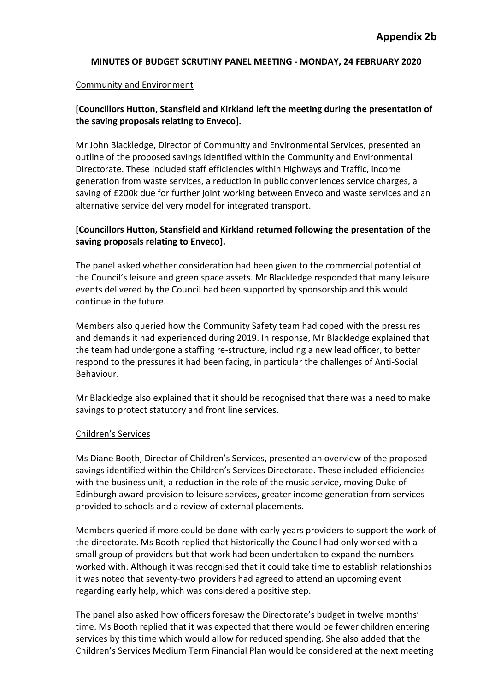#### Community and Environment

## **[Councillors Hutton, Stansfield and Kirkland left the meeting during the presentation of the saving proposals relating to Enveco].**

Mr John Blackledge, Director of Community and Environmental Services, presented an outline of the proposed savings identified within the Community and Environmental Directorate. These included staff efficiencies within Highways and Traffic, income generation from waste services, a reduction in public conveniences service charges, a saving of £200k due for further joint working between Enveco and waste services and an alternative service delivery model for integrated transport.

## **[Councillors Hutton, Stansfield and Kirkland returned following the presentation of the saving proposals relating to Enveco].**

The panel asked whether consideration had been given to the commercial potential of the Council's leisure and green space assets. Mr Blackledge responded that many leisure events delivered by the Council had been supported by sponsorship and this would continue in the future.

Members also queried how the Community Safety team had coped with the pressures and demands it had experienced during 2019. In response, Mr Blackledge explained that the team had undergone a staffing re-structure, including a new lead officer, to better respond to the pressures it had been facing, in particular the challenges of Anti-Social Behaviour.

Mr Blackledge also explained that it should be recognised that there was a need to make savings to protect statutory and front line services.

#### Children's Services

Ms Diane Booth, Director of Children's Services, presented an overview of the proposed savings identified within the Children's Services Directorate. These included efficiencies with the business unit, a reduction in the role of the music service, moving Duke of Edinburgh award provision to leisure services, greater income generation from services provided to schools and a review of external placements.

Members queried if more could be done with early years providers to support the work of the directorate. Ms Booth replied that historically the Council had only worked with a small group of providers but that work had been undertaken to expand the numbers worked with. Although it was recognised that it could take time to establish relationships it was noted that seventy-two providers had agreed to attend an upcoming event regarding early help, which was considered a positive step.

The panel also asked how officers foresaw the Directorate's budget in twelve months' time. Ms Booth replied that it was expected that there would be fewer children entering services by this time which would allow for reduced spending. She also added that the Children's Services Medium Term Financial Plan would be considered at the next meeting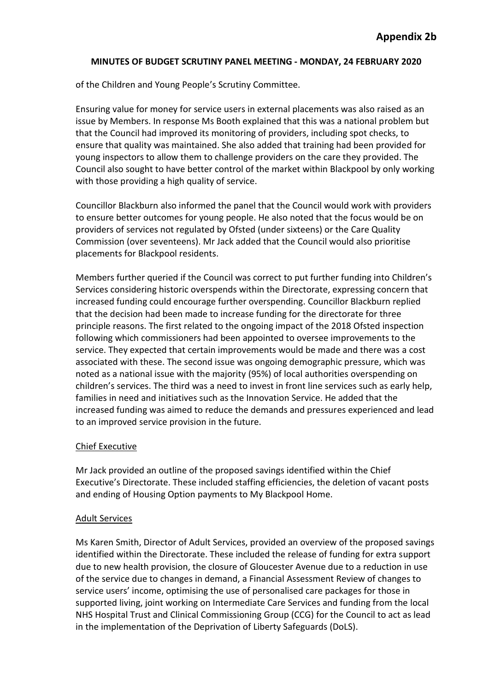of the Children and Young People's Scrutiny Committee.

Ensuring value for money for service users in external placements was also raised as an issue by Members. In response Ms Booth explained that this was a national problem but that the Council had improved its monitoring of providers, including spot checks, to ensure that quality was maintained. She also added that training had been provided for young inspectors to allow them to challenge providers on the care they provided. The Council also sought to have better control of the market within Blackpool by only working with those providing a high quality of service.

Councillor Blackburn also informed the panel that the Council would work with providers to ensure better outcomes for young people. He also noted that the focus would be on providers of services not regulated by Ofsted (under sixteens) or the Care Quality Commission (over seventeens). Mr Jack added that the Council would also prioritise placements for Blackpool residents.

Members further queried if the Council was correct to put further funding into Children's Services considering historic overspends within the Directorate, expressing concern that increased funding could encourage further overspending. Councillor Blackburn replied that the decision had been made to increase funding for the directorate for three principle reasons. The first related to the ongoing impact of the 2018 Ofsted inspection following which commissioners had been appointed to oversee improvements to the service. They expected that certain improvements would be made and there was a cost associated with these. The second issue was ongoing demographic pressure, which was noted as a national issue with the majority (95%) of local authorities overspending on children's services. The third was a need to invest in front line services such as early help, families in need and initiatives such as the Innovation Service. He added that the increased funding was aimed to reduce the demands and pressures experienced and lead to an improved service provision in the future.

## Chief Executive

Mr Jack provided an outline of the proposed savings identified within the Chief Executive's Directorate. These included staffing efficiencies, the deletion of vacant posts and ending of Housing Option payments to My Blackpool Home.

## Adult Services

Ms Karen Smith, Director of Adult Services, provided an overview of the proposed savings identified within the Directorate. These included the release of funding for extra support due to new health provision, the closure of Gloucester Avenue due to a reduction in use of the service due to changes in demand, a Financial Assessment Review of changes to service users' income, optimising the use of personalised care packages for those in supported living, joint working on Intermediate Care Services and funding from the local NHS Hospital Trust and Clinical Commissioning Group (CCG) for the Council to act as lead in the implementation of the Deprivation of Liberty Safeguards (DoLS).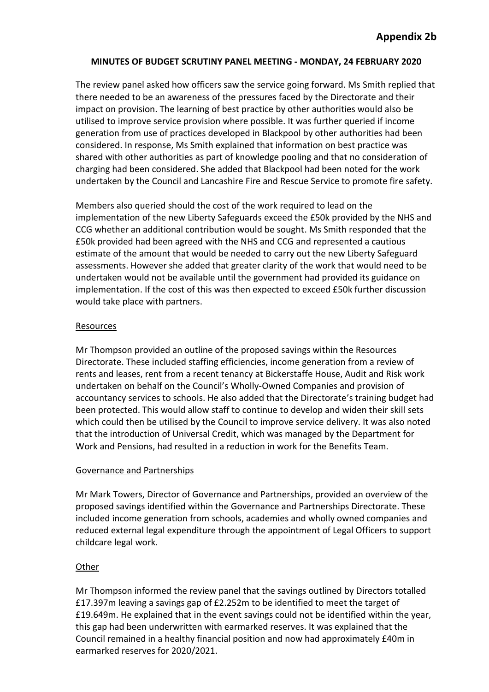The review panel asked how officers saw the service going forward. Ms Smith replied that there needed to be an awareness of the pressures faced by the Directorate and their impact on provision. The learning of best practice by other authorities would also be utilised to improve service provision where possible. It was further queried if income generation from use of practices developed in Blackpool by other authorities had been considered. In response, Ms Smith explained that information on best practice was shared with other authorities as part of knowledge pooling and that no consideration of charging had been considered. She added that Blackpool had been noted for the work undertaken by the Council and Lancashire Fire and Rescue Service to promote fire safety.

Members also queried should the cost of the work required to lead on the implementation of the new Liberty Safeguards exceed the £50k provided by the NHS and CCG whether an additional contribution would be sought. Ms Smith responded that the £50k provided had been agreed with the NHS and CCG and represented a cautious estimate of the amount that would be needed to carry out the new Liberty Safeguard assessments. However she added that greater clarity of the work that would need to be undertaken would not be available until the government had provided its guidance on implementation. If the cost of this was then expected to exceed £50k further discussion would take place with partners.

## Resources

Mr Thompson provided an outline of the proposed savings within the Resources Directorate. These included staffing efficiencies, income generation from a review of rents and leases, rent from a recent tenancy at Bickerstaffe House, Audit and Risk work undertaken on behalf on the Council's Wholly-Owned Companies and provision of accountancy services to schools. He also added that the Directorate's training budget had been protected. This would allow staff to continue to develop and widen their skill sets which could then be utilised by the Council to improve service delivery. It was also noted that the introduction of Universal Credit, which was managed by the Department for Work and Pensions, had resulted in a reduction in work for the Benefits Team.

# Governance and Partnerships

Mr Mark Towers, Director of Governance and Partnerships, provided an overview of the proposed savings identified within the Governance and Partnerships Directorate. These included income generation from schools, academies and wholly owned companies and reduced external legal expenditure through the appointment of Legal Officers to support childcare legal work.

# **Other**

Mr Thompson informed the review panel that the savings outlined by Directors totalled £17.397m leaving a savings gap of £2.252m to be identified to meet the target of £19.649m. He explained that in the event savings could not be identified within the year, this gap had been underwritten with earmarked reserves. It was explained that the Council remained in a healthy financial position and now had approximately £40m in earmarked reserves for 2020/2021.